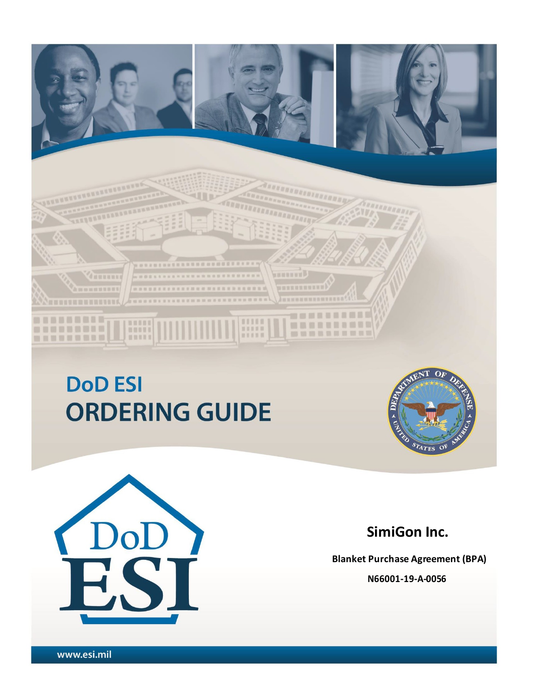# **DoD ESI ORDERING GUIDE**

**.........................** 

**BUDDIESSERVER & REER & R & R & R & R &** 

ummum

**HUBUYE** 

**HISSS** 

□ 章 百 日 日 日 日 日 三 日 日

田田田田田

,,,,,,,,,,,,

----------

**MINERAL BREE** 





## **SimiGon Inc.**

**Blanket Purchase Agreement (BPA) N66001-19-A-0056**

1 Version Dated: 23 February 2018 - 23 February 2018 - 23 February 2018 - 23 February 2018 - 23 February 2018<br>2018 - 23 February 2018 - 23 February 2018 - 23 February 2018 - 23 February 2018 - 23 February 2018 - 23 Febru

**BARRARAREAREA** 

dumman

m

**III** anda

----------

**ANDREWSHIPSIS** 

,,,,,,,,,

. . . . . . . . . .

-------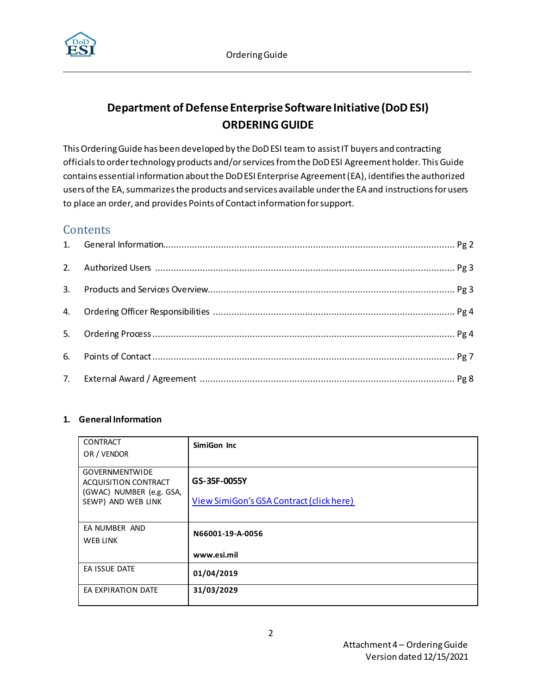

## **Department of Defense Enterprise Software Initiative (DoD ESI) ORDERING GUIDE**

This Ordering Guide has been developed by the DoD ESI team to assistIT buyers and contracting officials to ordertechnology products and/or services from the DoD ESI Agreement holder. ThisGuide contains essential information about the DoD ESI Enterprise Agreement (EA), identifies the authorized users ofthe EA, summarizes the products and services available under the EA and instructions for users to place an order, and provides Points of Contactinformation forsupport.

### **Contents**

#### **1. General Information**

| <b>CONTRACT</b>             | SimiGon Inc                              |
|-----------------------------|------------------------------------------|
| OR / VENDOR                 |                                          |
|                             |                                          |
| <b>GOVERNMENTWIDE</b>       |                                          |
| <b>ACQUISITION CONTRACT</b> | GS-35F-0055Y                             |
| (GWAC) NUMBER (e.g. GSA,    |                                          |
| SEWP) AND WEB LINK          | View SimiGon's GSA Contract (click here) |
|                             |                                          |
|                             |                                          |
| EA NUMBER AND               | N66001-19-A-0056                         |
| WEB LINK                    |                                          |
|                             |                                          |
|                             | www.esi.mil                              |
| EA ISSUE DATE               |                                          |
|                             | 01/04/2019                               |
| EA EXPIRATION DATE          | 31/03/2029                               |
|                             |                                          |
|                             |                                          |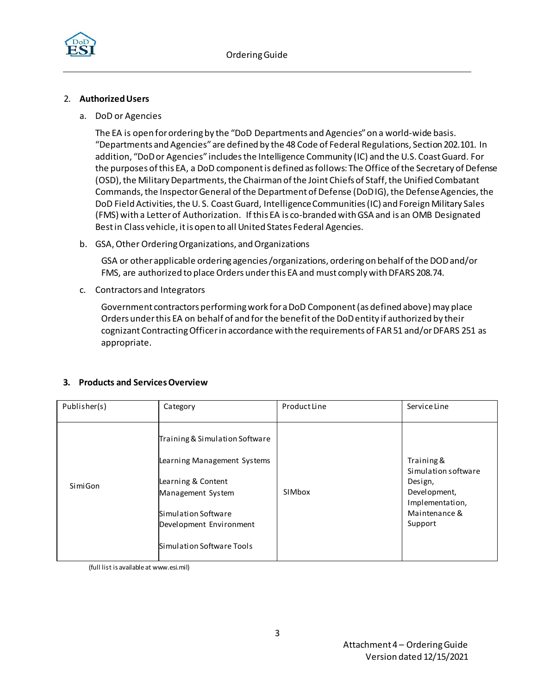

#### 2. **AuthorizedUsers**

a. DoD or Agencies

The EA is open for ordering by the "DoD Departments and Agencies" on a world-wide basis. "Departments and Agencies" are defined by the 48 Code of Federal Regulations, Section 202.101. In addition, "DoD or Agencies" includesthe Intelligence Community (IC) and the U.S. Coast Guard. For the purposes of this EA, a DoD component is defined as follows: The Office of the Secretary of Defense (OSD), the Military Departments, the Chairman of the Joint Chiefs of Staff, the Unified Combatant Commands, the Inspector General of the Department of Defense (DoD IG), the Defense Agencies, the DoD Field Activities, the U. S. Coast Guard, Intelligence Communities (IC) and Foreign Military Sales (FMS) with a Letter of Authorization. If this EA is co-branded with GSA and is an OMB Designated Best in Class vehicle, it is open to all United States Federal Agencies.

b. GSA, Other Ordering Organizations, and Organizations

GSA or other applicable ordering agencies /organizations, ordering on behalf of the DOD and/or FMS, are authorized to place Orders under this EA and must comply with DFARS 208.74.

c. Contractors and Integrators

Government contractors performing work for a DoD Component (as defined above) may place Orders under this EA on behalf of and for the benefit of the DoD entity if authorized by their cognizant Contracting Officer in accordance with the requirements of FAR 51 and/or DFARS 251 as appropriate.

#### **3. Products and ServicesOverview**

| Publisher(s) | Category                                                                                                                                                                                | Product Line | Service Line                                                                                                |
|--------------|-----------------------------------------------------------------------------------------------------------------------------------------------------------------------------------------|--------------|-------------------------------------------------------------------------------------------------------------|
| SimiGon      | Training & Simulation Software<br>Learning Management Systems<br>Learning & Content<br>Management System<br>Simulation Software<br>Development Environment<br>Simulation Software Tools | SIMbox       | Training &<br>Simulation software<br>Design,<br>Development,<br>Implementation,<br>Maintenance &<br>Support |

(full list is available at www.esi.mil)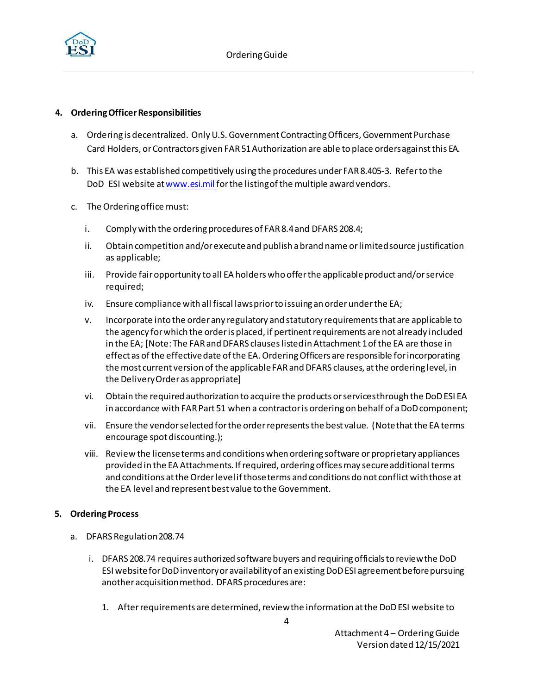

#### **4. Ordering OfficerResponsibilities**

- a. Ordering is decentralized. Only U.S. Government Contracting Officers, Government Purchase Card Holders, or Contractors given FAR 51 Authorization are able to place orders against this EA.
- b. This EA was established competitively using the procedures under FAR 8.405-3. Referto the DoD ESI website at www.esi.mil for the listing of the multiple award vendors.
- c. The Ordering office must:
	- i. Comply with the ordering procedures of FAR8.4and DFARS 208.4;
	- ii. Obtain competition and/orexecuteand publish a brand name or limited source justification as applicable;
	- iii. Provide fair opportunity to all EA holders who offer the applicable product and/or service required;
	- iv. Ensure compliance with all fiscal laws prior to issuing an order underthe EA;
	- v. Incorporate into the orderany regulatory and statutory requirementsthat are applicable to the agency forwhich the orderis placed, if pertinentrequirements are not already included in the EA; [Note: The FAR and DFARS clauseslisted in Attachment 1of the EA are those in effect as of the effectivedate of the EA. Ordering Officers are responsible forincorporating the most current version of the applicable FAR and DFARS clauses, at the ordering level, in the DeliveryOrderas appropriate]
	- vi. Obtain the required authorization to acquire the products or servicesthrough the DoD ESI EA in accordance with FAR Part 51 when a contractor is ordering on behalf of a DoD component;
	- vii. Ensure the vendorselected for the order representsthe best value. (Notethatthe EA terms encourage spot discounting.);
	- viii. Review the license terms and conditions when ordering software orproprietary appliances provided in the EA Attachments. If required, ordering offices may secure additional terms and conditions at the Order level if those terms and conditions do not conflict withthose at the EA level and represent best value to the Government.

#### <span id="page-3-0"></span>**5. Ordering Process**

- a. DFARS Regulation208.74
	- i. DFARS 208.74 requires authorized software buyers and requiring officials to review the DoD ESI website for DoD inventory or availability of an existing DoD ESI agreement before pursuing another acquisition method. DFARS procedures are:
		- 1. After requirements are determined, review the information at the DoD ESI website to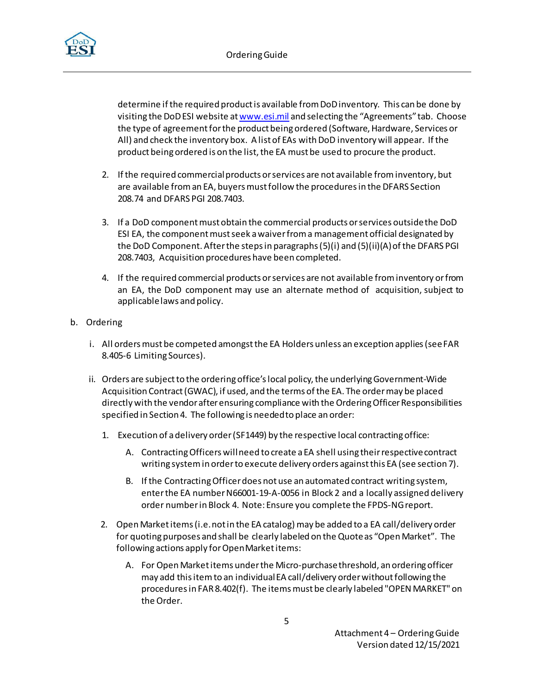

determine if the required product is available from DoD inventory. This can be done by visiting the DoD ESI website a[t www.esi.mil](http://www.esi.mil/) and selecting the "Agreements" tab. Choose the type of agreement for the product being ordered (Software, Hardware, Services or All) and check the inventory box. A list of EAs with DoD inventory will appear. If the product being ordered is on the list, the EA must be used to procure the product.

- 2. If the required commercial products or services are not available from inventory, but are available from an EA, buyers must follow the procedures in the DFARS Section 208.74 and DFARS PGI 208.7403.
- 3. If a DoD component must obtain the commercial products or services outside the DoD ESI EA, the component mustseek a waiver from a management official designated by the DoD Component. After the steps in paragraphs (5)(i) and (5)(ii)(A) of the DFARS PGI 208.7403, Acquisition procedures have been completed.
- 4. If the required commercial products or services are not available frominventory or from an EA, the DoD component may use an alternate method of acquisition, subject to applicablelaws and policy.
- b. Ordering
	- i. All orders must be competed amongst the EA Holders unless an exception applies (see FAR 8.405-6 Limiting Sources).
	- ii. Orders are subject to the ordering office's local policy, the underlying Government-Wide Acquisition Contract(GWAC), if used, and the terms of the EA. The order may be placed directly with the vendor after ensuring compliance with the Ordering Officer Responsibilities specified in Section 4. The following is needed to place an order:
		- 1. Execution of a delivery order (SF1449) by the respective local contractingoffice:
			- A. Contracting Officers will need to create a EA shell using theirrespective contract writing systemin order to execute delivery orders against this EA (see section 7).
			- B. If the Contracting Officer does not use an automated contract writing system, enterthe EA number N66001-19-A-0056 in Block 2 and a locally assigned delivery order number in Block 4. Note: Ensure you complete the FPDS-NG report.
		- 2. OpenMarketitems(i.e. not in the EA catalog) may be added to a EA call/delivery order for quoting purposes and shall be clearly labeled on the Quoteas "Open Market". The following actions apply for Open Market items:
			- A. For Open Market items under the Micro-purchase threshold, an ordering officer may add this item to an individual EA call/delivery order without following the procedures in FAR 8.402(f). The itemsmust be clearly labeled "OPEN MARKET" on the Order.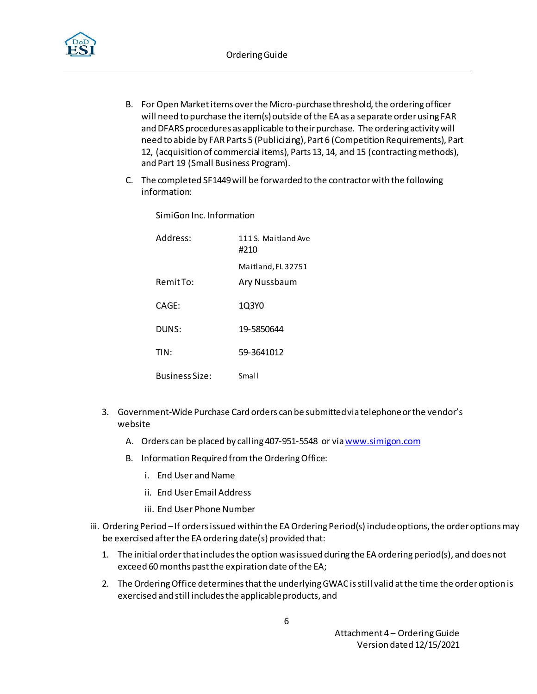

- B. For Open Market items over the Micro-purchase threshold, the ordering officer will need to purchase the item(s) outside of the EA as a separate order using FAR and DFARS procedures as applicable to their purchase. The ordering activity will need to abide by FAR Parts 5 (Publicizing), Part 6 (Competition Requirements), Part 12, (acquisition of commercial items), Parts 13, 14, and 15 (contracting methods), and Part 19 (Small Business Program).
- C. The completed SF1449will be forwarded to the contractorwith the following information:

SimiGon Inc. Information

| Address:              | 111 S. Maitland Ave<br>#210 |
|-----------------------|-----------------------------|
|                       | Maitland, FL 32751          |
| Remit To:             | Ary Nussbaum                |
| CAGE:                 | 1Q3Y0                       |
| DUNS:                 | 19-5850644                  |
| TIN:                  | 59-3641012                  |
| <b>Business Size:</b> | Small                       |

- 3. Government-Wide Purchase Card orders can be submittedvia telephoneor the vendor's website
	- A. Orders can be placed by calling 407-951-5548 or vi[a www.simigon.com](http://www.simigon.com/)
	- B. Information Required from the Ordering Office:
		- i. End User and Name
		- ii. End User Email Address
		- iii. End User Phone Number
- iii. Ordering Period –If orders issued within the EA Ordering Period(s) include options, the order options may be exercised after the EA ordering date(s) provided that:
	- 1. The initial order that includes the option was issued during the EA ordering period(s), and does not exceed 60 months past the expiration date of the EA;
	- 2. The Ordering Office determines that the underlying GWAC is still valid at the time the order option is exercised and still includes the applicable products, and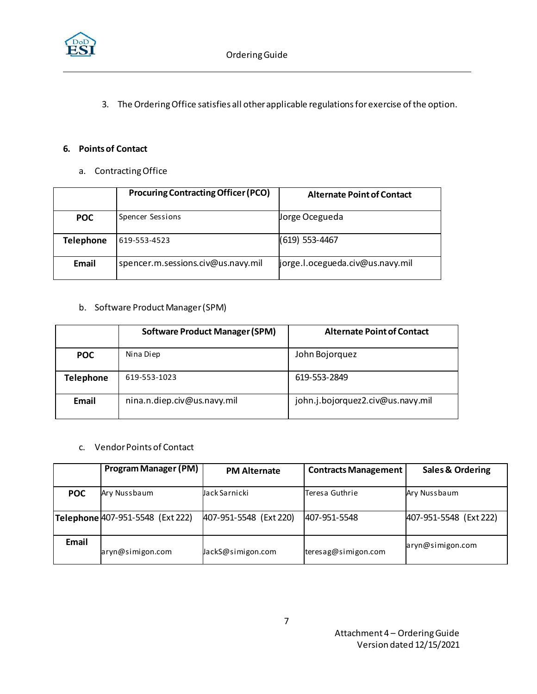

3. The Ordering Office satisfies all other applicable regulations for exercise of the option.

#### **6. Pointsof Contact**

a. Contracting Office

|                                             | <b>Procuring Contracting Officer (PCO)</b> | <b>Alternate Point of Contact</b> |  |
|---------------------------------------------|--------------------------------------------|-----------------------------------|--|
| <b>POC</b>                                  | Spencer Sessions                           | Jorge Ocegueda                    |  |
| <b>Telephone</b>                            | 619-553-4523                               | (619) 553-4467                    |  |
| spencer.m.sessions.civ@us.navy.mil<br>Email |                                            | jorge.l.ocegueda.civ@us.navy.mil  |  |

#### b. Software Product Manager (SPM)

| <b>Software Product Manager (SPM)</b> |              | <b>Alternate Point of Contact</b> |  |  |
|---------------------------------------|--------------|-----------------------------------|--|--|
| <b>POC</b>                            | Nina Diep    | John Bojorquez                    |  |  |
| <b>Telephone</b>                      | 619-553-1023 | 619-553-2849                      |  |  |
| nina.n.diep.civ@us.navy.mil<br>Email  |              | john.j.bojorquez2.civ@us.navy.mil |  |  |

#### c. Vendor Points of Contact

|            | <b>Program Manager (PM)</b>      | <b>PM Alternate</b>    | <b>Contracts Management</b> | <b>Sales &amp; Ordering</b> |
|------------|----------------------------------|------------------------|-----------------------------|-----------------------------|
| <b>POC</b> | Ary Nussbaum                     | Jack Sarnicki          | Teresa Guthrie              | Ary Nussbaum                |
|            | Telephone 407-951-5548 (Ext 222) | 407-951-5548 (Ext 220) | 407-951-5548                | 407-951-5548 (Ext 222)      |
| Email      | aryn@simigon.com                 | JackS@simigon.com      | teresag@simigon.com         | aryn@simigon.com            |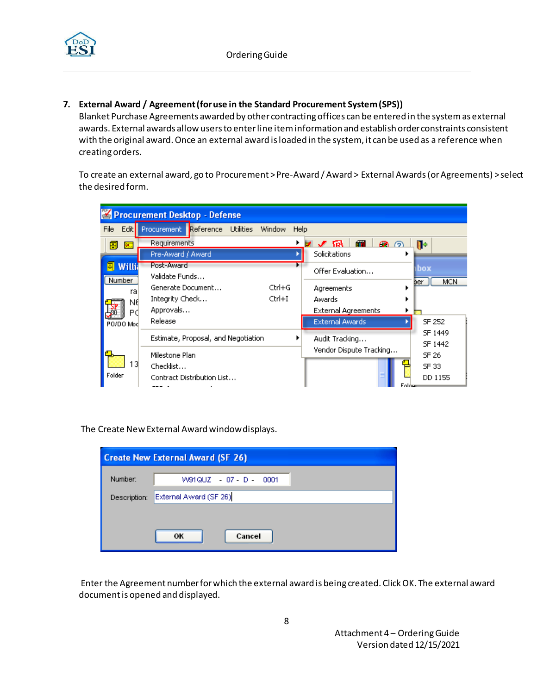

**7. External Award / Agreement(for use in the Standard Procurement System (SPS))**

Blanket Purchase Agreements awarded by other contracting offices can be entered in the system as external awards. External awards allow users to enter line item information and establish order constraints consistent with the original award. Once an external award is loaded in the system, it can be used as a reference when creating orders.

To create an external award, go to Procurement > Pre-Award / Award > External Awards (or Agreements) > select the desired form.

| Procurement Desktop - Defense  |                                                                                                      |      |                                                                              |                                         |  |
|--------------------------------|------------------------------------------------------------------------------------------------------|------|------------------------------------------------------------------------------|-----------------------------------------|--|
| File                           | Edit Procurement Reference Utilities<br>Window                                                       | Help |                                                                              |                                         |  |
| 團<br>DE ST<br>Willia<br>Number | Requirements<br>Pre-Award / Award<br>Post-Award<br>Validate Funds<br>$Ctrl + G$<br>Generate Document |      | <b>RT</b><br>മ ര<br>7 J 6<br>Solicitations<br>Offer Evaluation<br>Agreements | ll۰<br><b>box</b><br><b>MCN</b><br>ber. |  |
| ra<br>N٤<br>Рđ<br>PO/DO Mod    | Ctrl+I<br>Integrity Check<br>Approvals<br>Release                                                    |      | Awards<br><b>External Agreements</b><br><b>External Awards</b>               | SF 252                                  |  |
|                                | Estimate, Proposal, and Negotiation<br>Milestone Plan                                                |      | Audit Tracking<br>Vendor Dispute Tracking                                    | SF 1449<br>SF 1442<br>SF 26             |  |
| 13<br>Folder                   | Checklist<br>Contract Distribution List                                                              |      | Eoldsm                                                                       | SF 33<br>DD 1155                        |  |

The Create New External Award window displays.

| <b>Create New External Award (SF 26)</b> |                        |  |  |  |  |
|------------------------------------------|------------------------|--|--|--|--|
| Number:                                  | W91QUZ - 07 - D - 0001 |  |  |  |  |
| Description:                             | External Award (SF 26) |  |  |  |  |
|                                          |                        |  |  |  |  |
|                                          | Cancel<br>ок           |  |  |  |  |

Enter the Agreement number for which the external award is being created. Click OK. The external award document is opened and displayed.